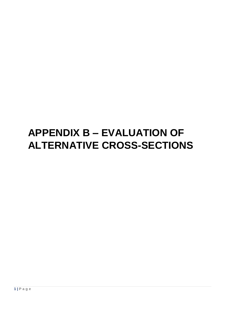# **APPENDIX B – EVALUATION OF ALTERNATIVE CROSS-SECTIONS**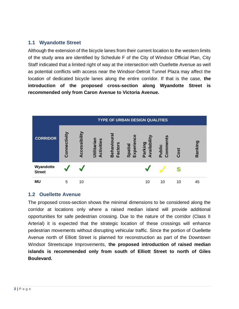#### **1.1 Wyandotte Street**

Although the extension of the bicycle lanes from their current location to the western limits of the study area are identified by Schedule F of the City of Windsor Official Plan, City Staff indicated that a limited right of way at the intersection with Ouellette Avenue as well as potential conflicts with access near the Windsor-Detroit Tunnel Plaza may affect the location of dedicated bicycle lanes along the entire corridor. If that is the case, **the introduction of the proposed cross-section along Wyandotte Street is recommended only from Caron Avenue to Victoria Avenue.**



#### **1.2 Ouellette Avenue**

The proposed cross-section shows the minimal dimensions to be considered along the corridor at locations only where a raised median island will provide additional opportunities for safe pedestrian crossing. Due to the nature of the corridor (Class II Arterial) it is expected that the strategic location of these crossings will enhance pedestrian movements without disrupting vehicular traffic. Since the portion of Ouellette Avenue north of Elliott Street is planned for reconstruction as part of the Downtown Windsor Streetscape Improvements, **the proposed introduction of raised median islands is recommended only from south of Elliott Street to north of Giles Boulevard.**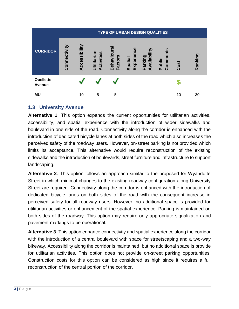|                                   | <b>TYPE OF URBAN DESIGN QUALITIES</b> |               |                           |                                         |                            |                               |                   |      |         |  |  |
|-----------------------------------|---------------------------------------|---------------|---------------------------|-----------------------------------------|----------------------------|-------------------------------|-------------------|------|---------|--|--|
| <b>CORRIDOR</b>                   | Connectivity                          | Accessibility | Utilitarian<br>Activities | <b>ra</b><br>Behaviou<br><b>Factors</b> | ω<br>Spatial<br>Experience | Ξ<br>vailabil<br>Parking<br>⋖ | Comment<br>Public | Cost | Ranking |  |  |
| <b>Ouellette</b><br><b>Avenue</b> |                                       |               |                           |                                         |                            |                               |                   |      |         |  |  |
| <b>MU</b>                         |                                       | 10            | 5                         | 5                                       |                            |                               |                   | 10   | 30      |  |  |

# **1.3 University Avenue**

**Alternative 1**. This option expands the current opportunities for utilitarian activities, accessibility, and spatial experience with the introduction of wider sidewalks and boulevard in one side of the road. Connectivity along the corridor is enhanced with the introduction of dedicated bicycle lanes at both sides of the road which also increases the perceived safety of the roadway users. However, on-street parking is not provided which limits its acceptance. This alternative would require reconstruction of the existing sidewalks and the introduction of boulevards, street furniture and infrastructure to support landscaping.

**Alternative 2**. This option follows an approach similar to the proposed for Wyandotte Street in which minimal changes to the existing roadway configuration along University Street are required. Connectivity along the corridor is enhanced with the introduction of dedicated bicycle lanes on both sides of the road with the consequent increase in perceived safety for all roadway users. However, no additional space is provided for utilitarian activities or enhancement of the spatial experience. Parking is maintained on both sides of the roadway. This option may require only appropriate signalization and pavement markings to be operational.

**Alternative 3**. This option enhance connectivity and spatial experience along the corridor with the introduction of a central boulevard with space for streetscaping and a two-way bikeway. Accessibility along the corridor is maintained, but no additional space is provide for utilitarian activities. This option does not provide on-street parking opportunities. Construction costs for this option can be considered as high since it requires a full reconstruction of the central portion of the corridor.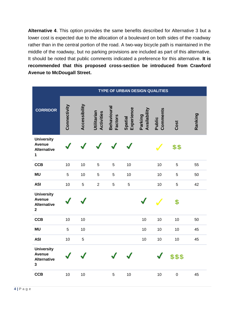**Alternative 4**. This option provides the same benefits described for Alternative 3 but a lower cost is expected due to the allocation of a boulevard on both sides of the roadway rather than in the central portion of the road. A two-way bicycle path is maintained in the middle of the roadway, but no parking provisions are included as part of this alternative. It should be noted that public comments indicated a preference for this alternative. **It is recommended that this proposed cross-section be introduced from Crawford Avenue to McDougall Street.**

|                                                                          | <b>TYPE OF URBAN DESIGN QUALITIES</b> |               |                                  |                               |                       |                         |                    |             |         |  |  |
|--------------------------------------------------------------------------|---------------------------------------|---------------|----------------------------------|-------------------------------|-----------------------|-------------------------|--------------------|-------------|---------|--|--|
| <b>CORRIDOR</b>                                                          | Connectivity                          | Accessibility | Utilitarian<br><b>Activities</b> | Behavioural<br><b>Factors</b> | Experience<br>Spatial | Availability<br>Parking | Comments<br>Public | Cost        | Ranking |  |  |
| <b>University</b><br><b>Avenue</b><br><b>Alternative</b><br>$\mathbf{1}$ |                                       |               |                                  |                               |                       |                         |                    | \$\$        |         |  |  |
| <b>CCB</b>                                                               | 10                                    | 10            | $\sqrt{5}$                       | $\sqrt{5}$                    | 10                    |                         | 10                 | 5           | 55      |  |  |
| <b>MU</b>                                                                | 5                                     | 10            | $\sqrt{5}$                       | 5                             | 10                    |                         | 10                 | 5           | 50      |  |  |
| <b>ASI</b>                                                               | 10                                    | 5             | $\overline{2}$                   | $\sqrt{5}$                    | $\overline{5}$        |                         | 10                 | 5           | 42      |  |  |
| <b>University</b><br><b>Avenue</b><br><b>Alternative</b><br>$\mathbf 2$  |                                       |               |                                  |                               |                       |                         |                    | \$          |         |  |  |
| <b>CCB</b>                                                               | 10                                    | 10            |                                  |                               |                       | 10                      | 10                 | 10          | 50      |  |  |
| <b>MU</b>                                                                | 5                                     | 10            |                                  |                               |                       | 10                      | 10                 | 10          | 45      |  |  |
| <b>ASI</b>                                                               | 10                                    | $\sqrt{5}$    |                                  |                               |                       | 10                      | 10                 | 10          | 45      |  |  |
| <b>University</b><br><b>Avenue</b><br><b>Alternative</b><br>$\mathbf{3}$ |                                       |               |                                  |                               |                       |                         |                    | \$\$\$      |         |  |  |
| <b>CCB</b>                                                               | 10                                    | 10            |                                  | 5                             | 10                    |                         | 10                 | $\mathbf 0$ | 45      |  |  |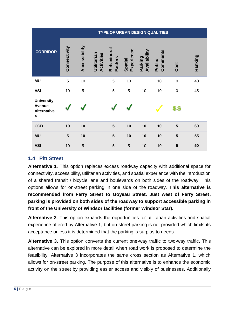|                                                               | <b>TYPE OF URBAN DESIGN QUALITIES</b> |               |                           |                                     |                       |                         |                    |             |         |  |  |
|---------------------------------------------------------------|---------------------------------------|---------------|---------------------------|-------------------------------------|-----------------------|-------------------------|--------------------|-------------|---------|--|--|
| <b>CORRIDOR</b>                                               | Connectivity                          | Accessibility | Utilitarian<br>Activities | <b>Behavioura</b><br><b>Factors</b> | Experience<br>Spatial | Availability<br>Parking | Comments<br>Public | Cost        | Ranking |  |  |
| <b>MU</b>                                                     | 5                                     | 10            |                           | 5                                   | 10                    |                         | 10                 | $\mathbf 0$ | 40      |  |  |
| <b>ASI</b>                                                    | 10                                    | 5             |                           | 5                                   | 5                     | 10                      | 10                 | $\mathbf 0$ | 45      |  |  |
| <b>University</b><br><b>Avenue</b><br><b>Alternative</b><br>4 |                                       |               |                           |                                     |                       |                         |                    | \$\$        |         |  |  |
| <b>CCB</b>                                                    | 10                                    | 10            |                           | 5                                   | 10                    | 10                      | 10                 | 5           | 60      |  |  |
| <b>MU</b>                                                     | $5\phantom{1}$                        | 10            |                           | 5                                   | 10                    | 10                      | 10                 | 5           | 55      |  |  |
| <b>ASI</b>                                                    | 10                                    | 5             |                           | 5                                   | 5                     | 10                      | 10                 | 5           | 50      |  |  |

# **1.4 Pitt Street**

**Alternative 1**. This option replaces excess roadway capacity with additional space for connectivity, accessibility, utilitarian activities, and spatial experience with the introduction of a shared transit / bicycle lane and boulevards on both sides of the roadway. This options allows for on-street parking in one side of the roadway. **This alternative is recommended from Ferry Street to Goyeau Street. Just west of Ferry Street, parking is provided on both sides of the roadway to support accessible parking in front of the University of Windsor facilities (former Windsor Star).**

**Alternative 2**. This option expands the opportunities for utilitarian activities and spatial experience offered by Alternative 1, but on-street parking is not provided which limits its acceptance unless it is determined that the parking is surplus to needs.

**Alternative 3.** This option converts the current one-way traffic to two-way traffic. This alternative can be explored in more detail when road work is proposed to determine the feasibility. Alternative 3 incorporates the same cross section as Alternative 1, which allows for on-street parking. The purpose of this alternative is to enhance the economic activity on the street by providing easier access and visibly of businesses. Additionally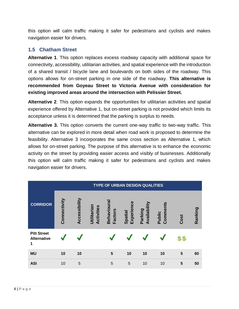this option will calm traffic making it safer for pedestrians and cyclists and makes navigation easier for drivers.

# **1.5 Chatham Street**

**Alternative 1**. This option replaces excess roadway capacity with additional space for connectivity, accessibility, utilitarian activities, and spatial experience with the introduction of a shared transit / bicycle lane and boulevards on both sides of the roadway. This options allows for on-street parking in one side of the roadway. **This alternative is recommended from Goyeau Street to Victoria Avenue with consideration for existing improved areas around the intersection with Pelissier Street.** 

**Alternative 2**. This option expands the opportunities for utilitarian activities and spatial experience offered by Alternative 1, but on-street parking is not provided which limits its acceptance unless it is determined that the parking is surplus to needs.

**Alternative 3.** This option converts the current one-way traffic to two-way traffic. This alternative can be explored in more detail when road work is proposed to determine the feasibility. Alternative 3 incorporates the same cross section as Alternative 1, which allows for on-street parking. The purpose of this alternative is to enhance the economic activity on the street by providing easier access and visibly of businesses. Additionally this option will calm traffic making it safer for pedestrians and cyclists and makes navigation easier for drivers.

|                                               |              | <b>TYPE OF URBAN DESIGN QUALITIES</b> |                           |                                     |                       |                         |                    |      |         |  |  |  |  |
|-----------------------------------------------|--------------|---------------------------------------|---------------------------|-------------------------------------|-----------------------|-------------------------|--------------------|------|---------|--|--|--|--|
| <b>CORRIDOR</b>                               | Connectivity | Accessibility                         | Utilitarian<br>Activities | <b>Behavioura</b><br><b>Factors</b> | Experience<br>Spatial | Availability<br>Parking | Comments<br>Public | Cost | Ranking |  |  |  |  |
| <b>Pitt Street</b><br><b>Alternative</b><br>1 |              |                                       |                           |                                     |                       |                         |                    | \$\$ |         |  |  |  |  |
| <b>MU</b>                                     | 10           | 10                                    |                           | 5                                   | 10                    | 10                      | 10                 | 5    | 60      |  |  |  |  |
| <b>ASI</b>                                    | 10           | 5                                     |                           | 5                                   | 5                     | 10                      | 10                 | 5    | 50      |  |  |  |  |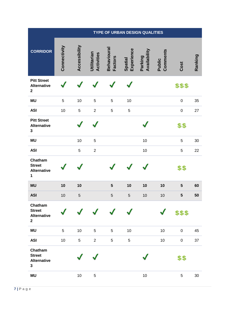|                                                                     | TYPE OF URBAN DESIGN QUALITIES |               |                           |                               |                       |                         |                    |             |         |  |
|---------------------------------------------------------------------|--------------------------------|---------------|---------------------------|-------------------------------|-----------------------|-------------------------|--------------------|-------------|---------|--|
| <b>CORRIDOR</b>                                                     | Connectivity                   | Accessibility | Utilitarian<br>Activities | Behavioural<br><b>Factors</b> | Experience<br>Spatial | Availability<br>Parking | Comments<br>Public | Cost        | Ranking |  |
| <b>Pitt Street</b><br><b>Alternative</b><br>$\overline{\mathbf{2}}$ |                                |               |                           |                               |                       |                         |                    | \$\$\$      |         |  |
| <b>MU</b>                                                           | 5                              | 10            | 5                         | $\sqrt{5}$                    | 10                    |                         |                    | $\pmb{0}$   | 35      |  |
| <b>ASI</b>                                                          | 10                             | 5             | $\overline{2}$            | $\mathbf 5$                   | $\mathbf 5$           |                         |                    | $\pmb{0}$   | 27      |  |
| <b>Pitt Street</b><br><b>Alternative</b><br>3                       |                                |               |                           |                               |                       |                         |                    | \$\$        |         |  |
| <b>MU</b>                                                           |                                | 10            | 5                         |                               |                       | $10$                    |                    | $\mathbf 5$ | 30      |  |
| <b>ASI</b>                                                          |                                | 5             | $\overline{2}$            |                               |                       | $10$                    |                    | $\mathbf 5$ | 22      |  |
| Chatham<br><b>Street</b><br><b>Alternative</b><br>$\mathbf{1}$      |                                |               |                           |                               |                       |                         |                    | \$\$        |         |  |
| <b>MU</b>                                                           | 10                             | 10            |                           | ${\bf 5}$                     | 10                    | 10                      | 10                 | 5           | 60      |  |
| <b>ASI</b>                                                          | 10                             | $\sqrt{5}$    |                           | $\sqrt{5}$                    | $\mathbf 5$           | 10                      | 10                 | ${\bf 5}$   | 50      |  |
| Chatham<br><b>Street</b><br><b>Alternative</b><br>$\mathbf 2$       |                                |               |                           |                               |                       |                         |                    | \$\$\$      |         |  |
| <b>MU</b>                                                           | 5                              | 10            | 5                         | $\sqrt{5}$                    | 10                    |                         | $10$               | $\pmb{0}$   | 45      |  |
| <b>ASI</b>                                                          | 10                             | 5             | $\overline{2}$            | 5                             | 5                     |                         | 10                 | $\pmb{0}$   | 37      |  |
| Chatham<br><b>Street</b><br><b>Alternative</b><br>3                 |                                |               |                           |                               |                       |                         |                    | \$\$        |         |  |
| <b>MU</b>                                                           |                                | 10            | 5                         |                               |                       | $10$                    |                    | $\sqrt{5}$  | 30      |  |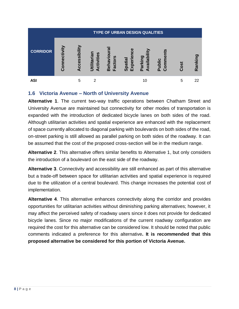| <b>TYPE OF URBAN DESIGN QUALITIES</b> |              |                                                 |                                        |                                          |                                 |                                            |                                            |      |             |  |  |
|---------------------------------------|--------------|-------------------------------------------------|----------------------------------------|------------------------------------------|---------------------------------|--------------------------------------------|--------------------------------------------|------|-------------|--|--|
| <b>CORRIDOR</b>                       | Connectivity | ibility<br><b>S</b><br>$\overline{c}$<br>Õ<br>₫ | ctivities<br><u>ria</u><br>요<br>Ë<br>⋖ | Behaviou<br>ctors<br>$\bar{\sigma}$<br>ய | ω<br>xperie<br>patial<br>ທ<br>ш | dal<br>arking<br>$\bar{a}$<br>$\mathbf{a}$ | ublic<br>5<br>آه<br>$\Omega$<br>$\epsilon$ | Cost | O.<br>Ranki |  |  |
| ASI                                   |              | 5                                               | າ                                      |                                          |                                 | 10                                         |                                            | 5    | 22          |  |  |

# **1.6 Victoria Avenue – North of University Avenue**

**Alternative 1**. The current two-way traffic operations between Chatham Street and University Avenue are maintained but connectivity for other modes of transportation is expanded with the introduction of dedicated bicycle lanes on both sides of the road. Although utilitarian activities and spatial experience are enhanced with the replacement of space currently allocated to diagonal parking with boulevards on both sides of the road, on-street parking is still allowed as parallel parking on both sides of the roadway. It can be assumed that the cost of the proposed cross-section will be in the medium range.

**Alternative 2**. This alternative offers similar benefits to Alternative 1, but only considers the introduction of a boulevard on the east side of the roadway.

**Alternative 3**. Connectivity and accessibility are still enhanced as part of this alternative but a trade-off between space for utilitarian activities and spatial experience is required due to the utilization of a central boulevard. This change increases the potential cost of implementation.

**Alternative 4**. This alternative enhances connectivity along the corridor and provides opportunities for utilitarian activities without diminishing parking alternatives; however, it may affect the perceived safety of roadway users since it does not provide for dedicated bicycle lanes. Since no major modifications of the current roadway configuration are required the cost for this alternative can be considered low. It should be noted that public comments indicated a preference for this alternative**. It is recommended that this proposed alternative be considered for this portion of Victoria Avenue.**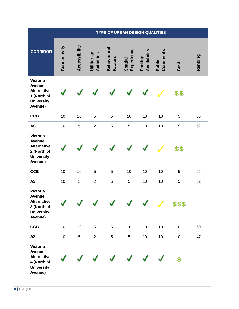|                                                                                                       | <b>TYPE OF URBAN DESIGN QUALITIES</b> |               |                           |                                      |                       |                         |                    |           |         |  |
|-------------------------------------------------------------------------------------------------------|---------------------------------------|---------------|---------------------------|--------------------------------------|-----------------------|-------------------------|--------------------|-----------|---------|--|
| <b>CORRIDOR</b>                                                                                       | Connectivity                          | Accessibility | Utilitarian<br>Activities | <b>Behavioural</b><br><b>Factors</b> | Experience<br>Spatial | Availability<br>Parking | Comments<br>Public | Cost      | Ranking |  |
| Victoria<br><b>Avenue</b><br><b>Alternative</b><br>1 (North of<br><b>University</b><br>Avenue)        |                                       |               |                           |                                      |                       |                         |                    | \$\$      |         |  |
| <b>CCB</b>                                                                                            | 10                                    | 10            | $\sqrt{5}$                | $\mathbf 5$                          | 10                    | 10                      | 10                 | 5         | 65      |  |
| <b>ASI</b>                                                                                            | 10                                    | $\sqrt{5}$    | $\overline{2}$            | 5                                    | 5                     | 10                      | 10                 | 5         | 52      |  |
| Victoria<br><b>Avenue</b><br><b>Alternative</b><br>2 (North of<br><b>University</b><br>Avenue)        |                                       |               |                           |                                      |                       |                         |                    | \$\$      |         |  |
| <b>CCB</b>                                                                                            | 10                                    | 10            | $\mathbf 5$               | $\sqrt{5}$                           | 10                    | 10                      | 10                 | 5         | 65      |  |
| <b>ASI</b>                                                                                            | 10                                    | 5             | $\sqrt{2}$                | 5                                    | 5                     | 10                      | 10                 | 5         | 52      |  |
| Victoria<br><b>Avenue</b><br><b>Alternative</b><br>3 (North of<br><b>University</b><br>Avenue)        |                                       |               |                           |                                      |                       |                         | $\mathcal{L}$      | \$\$\$    |         |  |
| <b>CCB</b>                                                                                            | 10                                    | 10            | $\sqrt{5}$                | 5                                    | 10                    | 10                      | 10                 | $\pmb{0}$ | 60      |  |
| <b>ASI</b>                                                                                            | 10                                    | 5             | $\overline{2}$            | 5                                    | 5                     | 10                      | 10                 | $\pmb{0}$ | 47      |  |
| <b>Victoria</b><br><b>Avenue</b><br><b>Alternative</b><br>4 (North of<br><b>University</b><br>Avenue) |                                       |               |                           |                                      |                       |                         |                    | \$        |         |  |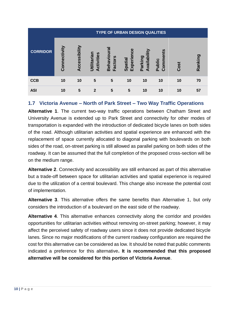| <b>TYPE OF URBAN DESIGN QUALITIES</b> |              |               |                                  |                            |                         |                     |                             |      |         |  |
|---------------------------------------|--------------|---------------|----------------------------------|----------------------------|-------------------------|---------------------|-----------------------------|------|---------|--|
| <b>CORRIDOR</b>                       | Connectivity | Accessibility | <b>Utilitarian</b><br>Activities | Behaviou<br><b>Factors</b> | ت<br>Experie<br>Spatial | Availabi<br>Parking | nts<br>മ<br>Comme<br>Public | Cost | Ranking |  |
| <b>CCB</b>                            | 10           | 10            | 5                                | 5                          | 10                      | 10                  | 10                          | 10   | 70      |  |
| <b>ASI</b>                            | 10           | 5             | $\mathbf{2}$                     | 5                          | 5                       | 10                  | 10                          | 10   | 57      |  |

# **1.7 Victoria Avenue – North of Park Street – Two Way Traffic Operations**

**Alternative 1**. The current two-way traffic operations between Chatham Street and University Avenue is extended up to Park Street and connectivity for other modes of transportation is expanded with the introduction of dedicated bicycle lanes on both sides of the road. Although utilitarian activities and spatial experience are enhanced with the replacement of space currently allocated to diagonal parking with boulevards on both sides of the road, on-street parking is still allowed as parallel parking on both sides of the roadway. It can be assumed that the full completion of the proposed cross-section will be on the medium range.

**Alternative 2**. Connectivity and accessibility are still enhanced as part of this alternative but a trade-off between space for utilitarian activities and spatial experience is required due to the utilization of a central boulevard. This change also increase the potential cost of implementation.

**Alternative 3**. This alternative offers the same benefits than Alternative 1, but only considers the introduction of a boulevard on the east side of the roadway.

**Alternative 4**. This alternative enhances connectivity along the corridor and provides opportunities for utilitarian activities without removing on-street parking; however, it may affect the perceived safety of roadway users since it does not provide dedicated bicycle lanes. Since no major modifications of the current roadway configuration are required the cost for this alternative can be considered as low. It should be noted that public comments indicated a preference for this alternative**. It is recommended that this proposed alternative will be considered for this portion of Victoria Avenue**.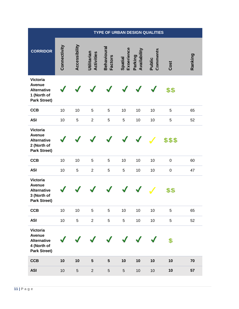|                                                                                              | <b>TYPE OF URBAN DESIGN QUALITIES</b> |               |                           |                                      |                       |                         |                    |           |         |  |  |
|----------------------------------------------------------------------------------------------|---------------------------------------|---------------|---------------------------|--------------------------------------|-----------------------|-------------------------|--------------------|-----------|---------|--|--|
| <b>CORRIDOR</b>                                                                              | Connectivity                          | Accessibility | Utilitarian<br>Activities | <b>Behavioural</b><br><b>Factors</b> | Experience<br>Spatial | Availability<br>Parking | Comments<br>Public | Cost      | Ranking |  |  |
| <b>Victoria</b><br><b>Avenue</b><br><b>Alternative</b><br>1 (North of<br><b>Park Street)</b> |                                       |               |                           |                                      |                       |                         |                    | \$\$      |         |  |  |
| <b>CCB</b>                                                                                   | 10                                    | 10            | 5                         | 5                                    | 10                    | 10                      | 10                 | 5         | 65      |  |  |
| <b>ASI</b>                                                                                   | 10                                    | 5             | $\boldsymbol{2}$          | 5                                    | 5                     | 10                      | 10                 | 5         | 52      |  |  |
| <b>Victoria</b><br><b>Avenue</b><br><b>Alternative</b><br>2 (North of<br><b>Park Street)</b> |                                       |               |                           |                                      |                       |                         |                    | \$\$\$    |         |  |  |
| <b>CCB</b>                                                                                   | 10                                    | 10            | 5                         | 5                                    | 10                    | 10                      | 10                 | $\pmb{0}$ | 60      |  |  |
| <b>ASI</b>                                                                                   | 10                                    | 5             | $\overline{2}$            | 5                                    | 5                     | 10                      | 10                 | $\pmb{0}$ | 47      |  |  |
| <b>Victoria</b><br><b>Avenue</b><br><b>Alternative</b><br>3 (North of<br><b>Park Street)</b> |                                       |               |                           |                                      |                       |                         |                    | \$\$      |         |  |  |
| <b>CCB</b>                                                                                   | 10                                    | 10            | 5                         | 5                                    | 10                    | 10                      | 10                 | 5         | 65      |  |  |
| <b>ASI</b>                                                                                   | 10                                    | 5             | $\overline{2}$            | 5                                    | 5                     | 10                      | 10                 | 5         | 52      |  |  |
| Victoria<br>Avenue<br><b>Alternative</b><br>4 (North of<br><b>Park Street)</b>               |                                       |               |                           |                                      |                       |                         |                    | \$        |         |  |  |
| <b>CCB</b>                                                                                   | 10                                    | 10            | $\sqrt{5}$                | $\sqrt{5}$                           | 10                    | 10                      | 10                 | 10        | 70      |  |  |
| <b>ASI</b>                                                                                   | 10                                    | $\sqrt{5}$    | $\sqrt{2}$                | $\sqrt{5}$                           | 5                     | 10                      | 10                 | 10        | 57      |  |  |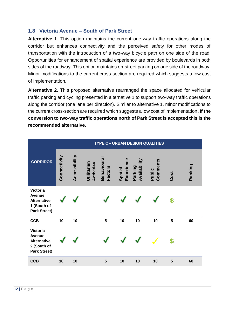#### **1.8 Victoria Avenue – South of Park Street**

**Alternative 1**. This option maintains the current one-way traffic operations along the corridor but enhances connectivity and the perceived safety for other modes of transportation with the introduction of a two-way bicycle path on one side of the road. Opportunities for enhancement of spatial experience are provided by boulevards in both sides of the roadway. This option maintains on-street parking on one side of the roadway. Minor modifications to the current cross-section are required which suggests a low cost of implementation.

**Alternative 2**. This proposed alternative rearranged the space allocated for vehicular traffic parking and cycling presented in alternative 1 to support two-way traffic operations along the corridor (one lane per direction). Similar to alternative 1, minor modifications to the current cross-section are required which suggests a low cost of implementation**. If the conversion to two-way traffic operations north of Park Street is accepted this is the recommended alternative.**

|                                                                                              | <b>TYPE OF URBAN DESIGN QUALITIES</b> |               |                           |                                     |                       |                         |                    |              |         |  |
|----------------------------------------------------------------------------------------------|---------------------------------------|---------------|---------------------------|-------------------------------------|-----------------------|-------------------------|--------------------|--------------|---------|--|
| <b>CORRIDOR</b>                                                                              | Connectivity                          | Accessibility | Utilitarian<br>Activities | <b>Behavioura</b><br><b>Factors</b> | Experience<br>Spatial | Availability<br>Parking | Comments<br>Public | Cost         | Ranking |  |
| <b>Victoria</b><br><b>Avenue</b><br><b>Alternative</b><br>1 (South of<br><b>Park Street)</b> |                                       |               |                           |                                     |                       |                         |                    | $\mathbf{E}$ |         |  |
| <b>CCB</b>                                                                                   | 10                                    | 10            |                           | 5                                   | 10                    | 10                      | 10                 | 5            | 60      |  |
| <b>Victoria</b><br>Avenue<br><b>Alternative</b><br>2 (South of<br><b>Park Street)</b>        |                                       |               |                           |                                     |                       |                         |                    | \$           |         |  |
| <b>CCB</b>                                                                                   | 10                                    | 10            |                           | 5                                   | 10                    | 10                      | 10                 | 5            | 60      |  |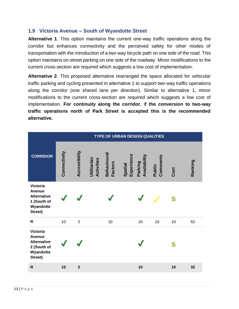#### **1.9 Victoria Avenue – South of Wyandotte Street**

**Alternative 1**. This option maintains the current one-way traffic operations along the corridor but enhances connectivity and the perceived safety for other modes of transportation with the introduction of a two-way bicycle path on one side of the road. This option maintains on-street parking on one side of the roadway. Minor modifications to the current cross-section are required which suggests a low cost of implementation.

**Alternative 2**. This proposed alternative rearranged the space allocated for vehicular traffic parking and cycling presented in alternative 1 to support two-way traffic operations along the corridor (one shared lane per direction). Similar to alternative 1, minor modifications to the current cross-section are required which suggests a low cost of implementation. **For continuity along the corridor**, i**f the conversion to two-way traffic operations north of Park Street is accepted this is the recommended alternative.**

|                                                                                        |              | <b>TYPE OF URBAN DESIGN QUALITIES</b> |                                  |                                     |                       |                         |                    |      |         |  |  |
|----------------------------------------------------------------------------------------|--------------|---------------------------------------|----------------------------------|-------------------------------------|-----------------------|-------------------------|--------------------|------|---------|--|--|
| <b>CORRIDOR</b>                                                                        | Connectivity | Accessibility                         | Utilitarian<br><b>Activities</b> | <b>Behavioura</b><br><b>Factors</b> | Experience<br>Spatial | Availability<br>Parking | Comments<br>Public | Cost | Ranking |  |  |
| <b>Victoria</b><br>Avenue<br><b>Alternative</b><br>1 (South of<br>Wyandotte<br>Street) |              |                                       |                                  |                                     |                       |                         |                    | \$   |         |  |  |
| $\mathsf{R}$                                                                           | 10           | $\overline{2}$                        |                                  | 10                                  |                       | 10                      | 10                 | 10   | 52      |  |  |
| <b>Victoria</b><br>Avenue<br><b>Alternative</b><br>2 (South of<br>Wyandotte<br>Street) |              |                                       |                                  |                                     |                       |                         |                    | \$   |         |  |  |
| $\mathsf{R}$                                                                           | 10           | $\overline{2}$                        |                                  |                                     |                       | 10                      |                    | 10   | 32      |  |  |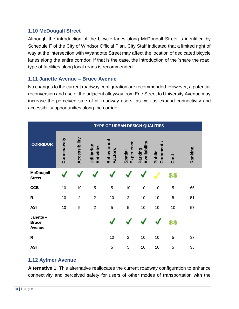#### **1.10 McDougall Street**

Although the introduction of the bicycle lanes along McDougall Street is identified by Schedule F of the City of Windsor Official Plan, City Staff indicated that a limited right of way at the intersection with Wyandotte Street may affect the location of dedicated bicycle lanes along the entire corridor. If that is the case, the introduction of the 'share the road' type of facilities along local roads is recommended.

#### **1.11 Janette Avenue – Bruce Avenue**

No changes to the current roadway configuration are recommended. However, a potential reconversion and use of the adjacent alleyway from Erie Street to University Avenue may increase the perceived safe of all roadway users, as well as expand connectivity and accessibility opportunities along the corridor.

|                                           |              | <b>TYPE OF URBAN DESIGN QUALITIES</b> |                                  |                                      |                       |                         |                           |      |         |  |  |  |
|-------------------------------------------|--------------|---------------------------------------|----------------------------------|--------------------------------------|-----------------------|-------------------------|---------------------------|------|---------|--|--|--|
| <b>CORRIDOR</b>                           | Connectivity | Accessibility                         | Utilitarian<br><b>Activities</b> | <b>Behavioural</b><br><b>Factors</b> | Experience<br>Spatial | Availability<br>Parking | Comments<br><b>Public</b> | Cost | Ranking |  |  |  |
| <b>McDougall</b><br><b>Street</b>         |              |                                       |                                  |                                      |                       |                         |                           | \$\$ |         |  |  |  |
| <b>CCB</b>                                | 10           | 10                                    | 5                                | 5                                    | 10                    | 10                      | 10                        | 5    | 65      |  |  |  |
| $\mathsf{R}$                              | 10           | $\overline{2}$                        | $\overline{2}$                   | 10                                   | $\overline{2}$        | 10                      | 10                        | 5    | 51      |  |  |  |
| <b>ASI</b>                                | 10           | 5                                     | $\overline{2}$                   | 5                                    | 5                     | 10                      | 10                        | 10   | 57      |  |  |  |
| Janette-<br><b>Bruce</b><br><b>Avenue</b> |              |                                       |                                  |                                      |                       |                         |                           | \$\$ |         |  |  |  |
| $\mathsf{R}$                              |              |                                       |                                  | 10                                   | $\overline{2}$        | 10                      | 10                        | 5    | 37      |  |  |  |
| <b>ASI</b>                                |              |                                       |                                  | 5                                    | 5                     | 10                      | 10                        | 5    | 35      |  |  |  |

# **1.12 Aylmer Avenue**

**Alternative 1**. This alternative reallocates the current roadway configuration to enhance connectivity and perceived safety for users of other modes of transportation with the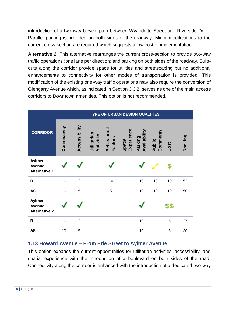introduction of a two-way bicycle path between Wyandotte Street and Riverside Drive. Parallel parking is provided on both sides of the roadway. Minor modifications to the current cross-section are required which suggests a low cost of implementation.

**Alternative 2**. This alternative rearranges the current cross-section to provide two-way traffic operations (one lane per direction) and parking on both sides of the roadway. Bulbouts along the corridor provide space for utilities and streetscaping but no additional enhancements to connectivity for other modes of transportation is provided. This modification of the existing one-way traffic operations may also require the conversion of Glengarry Avenue which, as indicated in Section 3.3.2, serves as one of the main access corridors to Downtown amenities. This option is not recommended.

|                                                        | <b>TYPE OF URBAN DESIGN QUALITIES</b> |                |                                                           |                                                  |                    |      |         |  |  |
|--------------------------------------------------------|---------------------------------------|----------------|-----------------------------------------------------------|--------------------------------------------------|--------------------|------|---------|--|--|
| <b>CORRIDOR</b>                                        | Connectivity                          | Accessibility  | Behavioura<br>Utilitarian<br>Activities<br><b>Factors</b> | Experience<br>Availability<br>Parking<br>Spatial | Comments<br>Public | Cost | Ranking |  |  |
| <b>Aylmer</b><br><b>Avenue</b><br><b>Alternative 1</b> |                                       |                |                                                           |                                                  |                    | \$   |         |  |  |
| ${\sf R}$                                              | 10                                    | $\overline{2}$ | 10                                                        | 10                                               | 10                 | 10   | 52      |  |  |
| <b>ASI</b>                                             | 10                                    | 5              | 5                                                         | 10                                               | 10                 | 10   | 50      |  |  |
| <b>Aylmer</b><br><b>Avenue</b><br><b>Alternative 2</b> |                                       |                |                                                           |                                                  |                    | \$\$ |         |  |  |
| $\mathsf{R}$                                           | 10                                    | $\overline{2}$ |                                                           | 10                                               |                    | 5    | 27      |  |  |
| <b>ASI</b>                                             | 10                                    | 5              |                                                           | 10                                               |                    | 5    | 30      |  |  |

#### **1.13 Howard Avenue – From Erie Street to Aylmer Avenue**

This option expands the current opportunities for utilitarian activities, accessibility, and spatial experience with the introduction of a boulevard on both sides of the road. Connectivity along the corridor is enhanced with the introduction of a dedicated two-way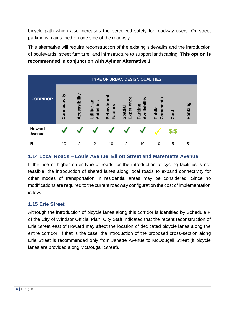bicycle path which also increases the perceived safety for roadway users. On-street parking is maintained on one side of the roadway.

This alternative will require reconstruction of the existing sidewalks and the introduction of boulevards, street furniture, and infrastructure to support landscaping. **This option is recommended in conjunction with Aylmer Alternative 1.**



# **1.14 Local Roads – Louis Avenue, Elliott Street and Marentette Avenue**

If the use of higher order type of roads for the introduction of cycling facilities is not feasible, the introduction of shared lanes along local roads to expand connectivity for other modes of transportation in residential areas may be considered. Since no modifications are required to the current roadway configuration the cost of implementation is low.

# **1.15 Erie Street**

Although the introduction of bicycle lanes along this corridor is identified by Schedule F of the City of Windsor Official Plan, City Staff indicated that the recent reconstruction of Erie Street east of Howard may affect the location of dedicated bicycle lanes along the entire corridor. If that is the case, the introduction of the proposed cross-section along Erie Street is recommended only from Janette Avenue to McDougall Street (if bicycle lanes are provided along McDougall Street).